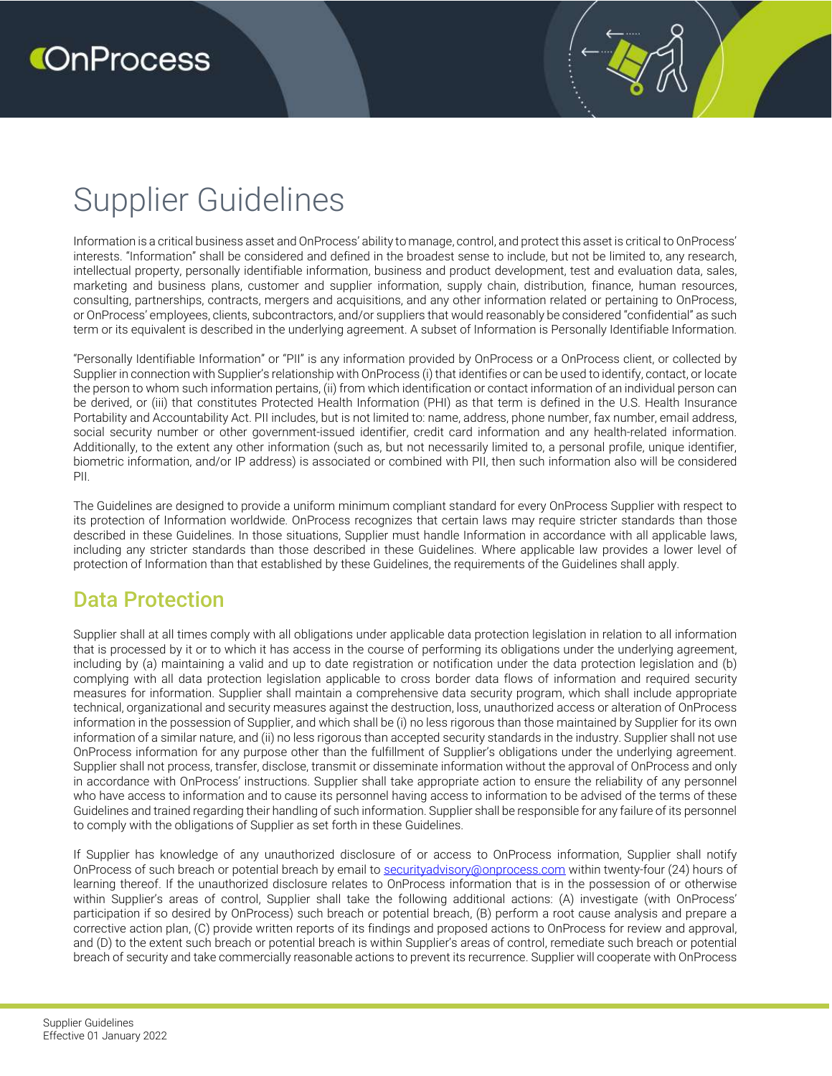# Supplier Guidelines

Information is a critical business asset and OnProcess' ability to manage, control, and protect this asset is critical to OnProcess' interests. "Information" shall be considered and defined in the broadest sense to include, but not be limited to, any research, intellectual property, personally identifiable information, business and product development, test and evaluation data, sales, marketing and business plans, customer and supplier information, supply chain, distribution, finance, human resources, consulting, partnerships, contracts, mergers and acquisitions, and any other information related or pertaining to OnProcess, or OnProcess' employees, clients, subcontractors, and/or suppliers that would reasonably be considered "confidential" as such term or its equivalent is described in the underlying agreement. A subset of Information is Personally Identifiable Information.

"Personally Identifiable Information" or "PII" is any information provided by OnProcess or a OnProcess client, or collected by Supplier in connection with Supplier's relationship with OnProcess (i) that identifies or can be used to identify, contact, or locate the person to whom such information pertains, (ii) from which identification or contact information of an individual person can be derived, or (iii) that constitutes Protected Health Information (PHI) as that term is defined in the U.S. Health Insurance Portability and Accountability Act. PII includes, but is not limited to: name, address, phone number, fax number, email address, social security number or other government-issued identifier, credit card information and any health-related information. Additionally, to the extent any other information (such as, but not necessarily limited to, a personal profile, unique identifier, biometric information, and/or IP address) is associated or combined with PII, then such information also will be considered PII.

The Guidelines are designed to provide a uniform minimum compliant standard for every OnProcess Supplier with respect to its protection of Information worldwide. OnProcess recognizes that certain laws may require stricter standards than those described in these Guidelines. In those situations, Supplier must handle Information in accordance with all applicable laws, including any stricter standards than those described in these Guidelines. Where applicable law provides a lower level of protection of Information than that established by these Guidelines, the requirements of the Guidelines shall apply.

#### Data Protection

Supplier shall at all times comply with all obligations under applicable data protection legislation in relation to all information that is processed by it or to which it has access in the course of performing its obligations under the underlying agreement, including by (a) maintaining a valid and up to date registration or notification under the data protection legislation and (b) complying with all data protection legislation applicable to cross border data flows of information and required security measures for information. Supplier shall maintain a comprehensive data security program, which shall include appropriate technical, organizational and security measures against the destruction, loss, unauthorized access or alteration of OnProcess information in the possession of Supplier, and which shall be (i) no less rigorous than those maintained by Supplier for its own information of a similar nature, and (ii) no less rigorous than accepted security standards in the industry. Supplier shall not use OnProcess information for any purpose other than the fulfillment of Supplier's obligations under the underlying agreement. Supplier shall not process, transfer, disclose, transmit or disseminate information without the approval of OnProcess and only in accordance with OnProcess' instructions. Supplier shall take appropriate action to ensure the reliability of any personnel who have access to information and to cause its personnel having access to information to be advised of the terms of these Guidelines and trained regarding their handling of such information. Supplier shall be responsible for any failure of its personnel to comply with the obligations of Supplier as set forth in these Guidelines.

If Supplier has knowledge of any unauthorized disclosure of or access to OnProcess information, Supplier shall notify OnProcess of such breach or potential breach by email to securityadvisory@onprocess.com within twenty-four (24) hours of learning thereof. If the unauthorized disclosure relates to OnProcess information that is in the possession of or otherwise within Supplier's areas of control, Supplier shall take the following additional actions: (A) investigate (with OnProcess' participation if so desired by OnProcess) such breach or potential breach, (B) perform a root cause analysis and prepare a corrective action plan, (C) provide written reports of its findings and proposed actions to OnProcess for review and approval, and (D) to the extent such breach or potential breach is within Supplier's areas of control, remediate such breach or potential breach of security and take commercially reasonable actions to prevent its recurrence. Supplier will cooperate with OnProcess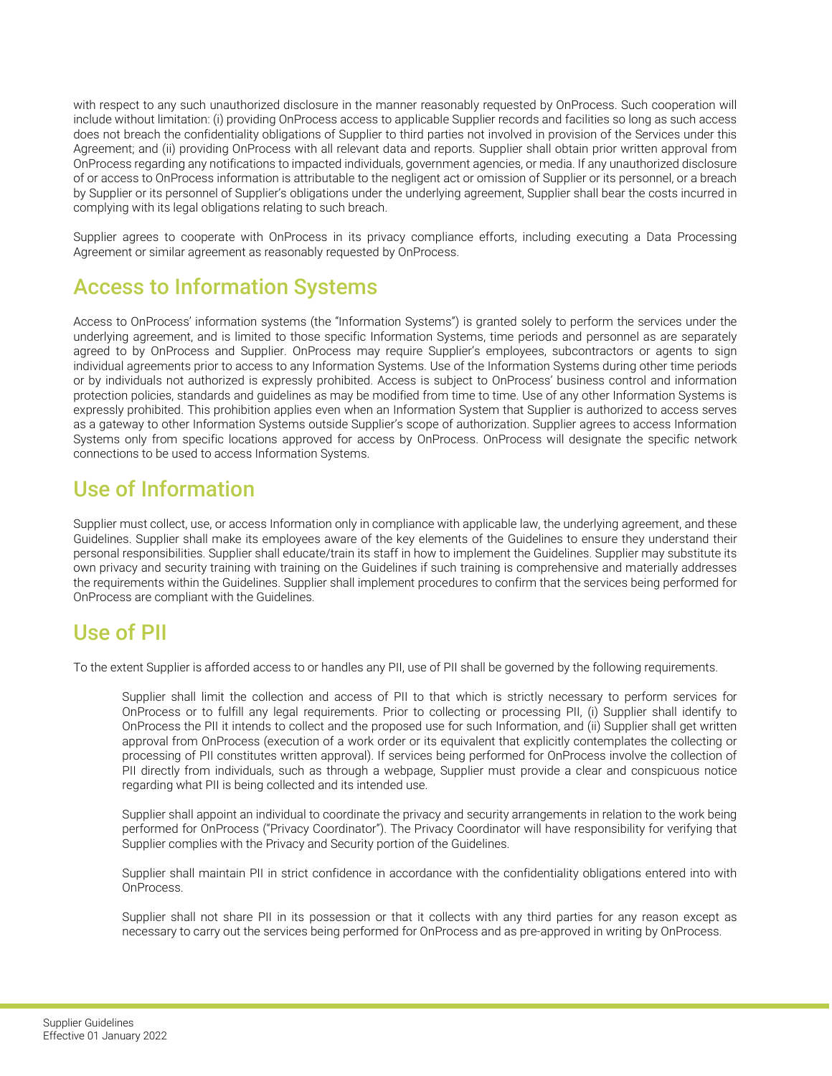with respect to any such unauthorized disclosure in the manner reasonably requested by OnProcess. Such cooperation will include without limitation: (i) providing OnProcess access to applicable Supplier records and facilities so long as such access does not breach the confidentiality obligations of Supplier to third parties not involved in provision of the Services under this Agreement; and (ii) providing OnProcess with all relevant data and reports. Supplier shall obtain prior written approval from OnProcess regarding any notifications to impacted individuals, government agencies, or media. If any unauthorized disclosure of or access to OnProcess information is attributable to the negligent act or omission of Supplier or its personnel, or a breach by Supplier or its personnel of Supplier's obligations under the underlying agreement, Supplier shall bear the costs incurred in complying with its legal obligations relating to such breach.

Supplier agrees to cooperate with OnProcess in its privacy compliance efforts, including executing a Data Processing Agreement or similar agreement as reasonably requested by OnProcess.

#### Access to Information Systems

Access to OnProcess' information systems (the "Information Systems") is granted solely to perform the services under the underlying agreement, and is limited to those specific Information Systems, time periods and personnel as are separately agreed to by OnProcess and Supplier. OnProcess may require Supplier's employees, subcontractors or agents to sign individual agreements prior to access to any Information Systems. Use of the Information Systems during other time periods or by individuals not authorized is expressly prohibited. Access is subject to OnProcess' business control and information protection policies, standards and guidelines as may be modified from time to time. Use of any other Information Systems is expressly prohibited. This prohibition applies even when an Information System that Supplier is authorized to access serves as a gateway to other Information Systems outside Supplier's scope of authorization. Supplier agrees to access Information Systems only from specific locations approved for access by OnProcess. OnProcess will designate the specific network connections to be used to access Information Systems.

#### Use of Information

Supplier must collect, use, or access Information only in compliance with applicable law, the underlying agreement, and these Guidelines. Supplier shall make its employees aware of the key elements of the Guidelines to ensure they understand their personal responsibilities. Supplier shall educate/train its staff in how to implement the Guidelines. Supplier may substitute its own privacy and security training with training on the Guidelines if such training is comprehensive and materially addresses the requirements within the Guidelines. Supplier shall implement procedures to confirm that the services being performed for OnProcess are compliant with the Guidelines.

### Use of PII

To the extent Supplier is afforded access to or handles any PII, use of PII shall be governed by the following requirements.

Supplier shall limit the collection and access of PII to that which is strictly necessary to perform services for OnProcess or to fulfill any legal requirements. Prior to collecting or processing PII, (i) Supplier shall identify to OnProcess the PII it intends to collect and the proposed use for such Information, and (ii) Supplier shall get written approval from OnProcess (execution of a work order or its equivalent that explicitly contemplates the collecting or processing of PII constitutes written approval). If services being performed for OnProcess involve the collection of PII directly from individuals, such as through a webpage, Supplier must provide a clear and conspicuous notice regarding what PII is being collected and its intended use.

Supplier shall appoint an individual to coordinate the privacy and security arrangements in relation to the work being performed for OnProcess ("Privacy Coordinator"). The Privacy Coordinator will have responsibility for verifying that Supplier complies with the Privacy and Security portion of the Guidelines.

Supplier shall maintain PII in strict confidence in accordance with the confidentiality obligations entered into with OnProcess.

Supplier shall not share PII in its possession or that it collects with any third parties for any reason except as necessary to carry out the services being performed for OnProcess and as pre-approved in writing by OnProcess.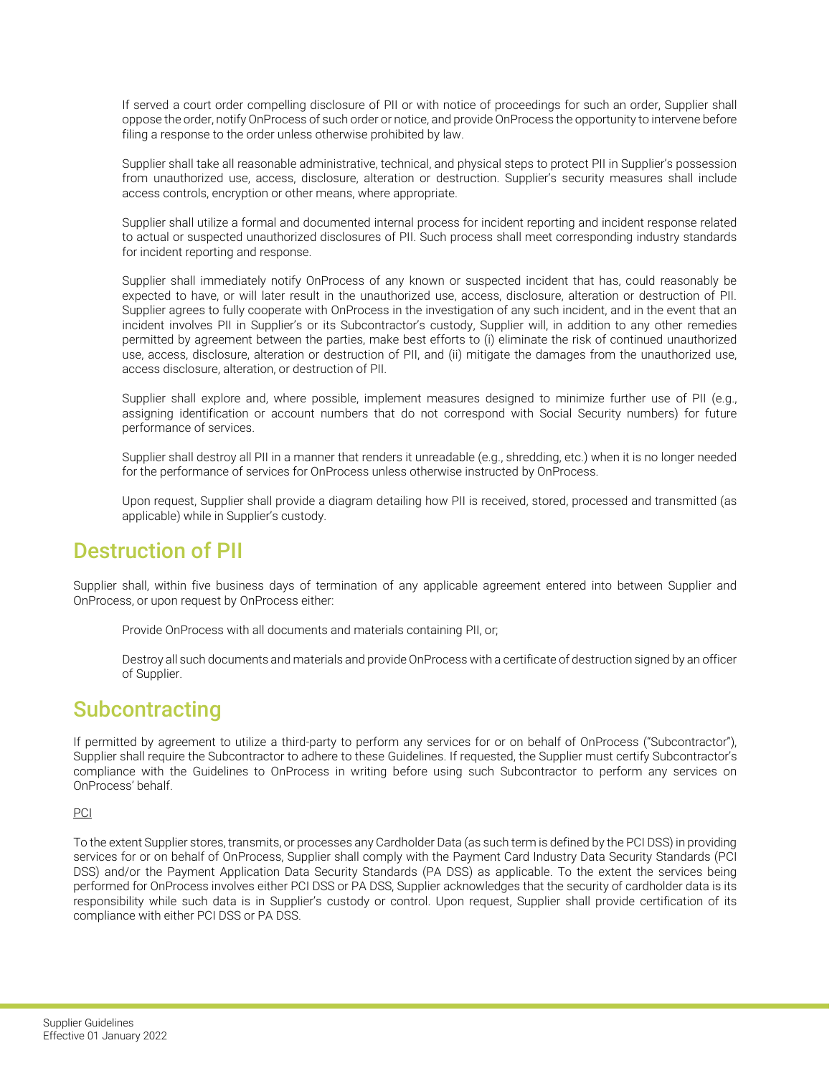If served a court order compelling disclosure of PII or with notice of proceedings for such an order, Supplier shall oppose the order, notify OnProcess of such order or notice, and provide OnProcess the opportunity to intervene before filing a response to the order unless otherwise prohibited by law.

Supplier shall take all reasonable administrative, technical, and physical steps to protect PII in Supplier's possession from unauthorized use, access, disclosure, alteration or destruction. Supplier's security measures shall include access controls, encryption or other means, where appropriate.

Supplier shall utilize a formal and documented internal process for incident reporting and incident response related to actual or suspected unauthorized disclosures of PII. Such process shall meet corresponding industry standards for incident reporting and response.

Supplier shall immediately notify OnProcess of any known or suspected incident that has, could reasonably be expected to have, or will later result in the unauthorized use, access, disclosure, alteration or destruction of PII. Supplier agrees to fully cooperate with OnProcess in the investigation of any such incident, and in the event that an incident involves PII in Supplier's or its Subcontractor's custody, Supplier will, in addition to any other remedies permitted by agreement between the parties, make best efforts to (i) eliminate the risk of continued unauthorized use, access, disclosure, alteration or destruction of PII, and (ii) mitigate the damages from the unauthorized use, access disclosure, alteration, or destruction of PII.

Supplier shall explore and, where possible, implement measures designed to minimize further use of PII (e.g., assigning identification or account numbers that do not correspond with Social Security numbers) for future performance of services.

Supplier shall destroy all PII in a manner that renders it unreadable (e.g., shredding, etc.) when it is no longer needed for the performance of services for OnProcess unless otherwise instructed by OnProcess.

Upon request, Supplier shall provide a diagram detailing how PII is received, stored, processed and transmitted (as applicable) while in Supplier's custody.

#### Destruction of PII

Supplier shall, within five business days of termination of any applicable agreement entered into between Supplier and OnProcess, or upon request by OnProcess either:

Provide OnProcess with all documents and materials containing PII, or;

Destroy all such documents and materials and provide OnProcess with a certificate of destruction signed by an officer of Supplier.

#### **Subcontracting**

If permitted by agreement to utilize a third-party to perform any services for or on behalf of OnProcess ("Subcontractor"), Supplier shall require the Subcontractor to adhere to these Guidelines. If requested, the Supplier must certify Subcontractor's compliance with the Guidelines to OnProcess in writing before using such Subcontractor to perform any services on OnProcess' behalf.

#### PCI

To the extent Supplier stores, transmits, or processes any Cardholder Data (as such term is defined by the PCI DSS) in providing services for or on behalf of OnProcess, Supplier shall comply with the Payment Card Industry Data Security Standards (PCI DSS) and/or the Payment Application Data Security Standards (PA DSS) as applicable. To the extent the services being performed for OnProcess involves either PCI DSS or PA DSS, Supplier acknowledges that the security of cardholder data is its responsibility while such data is in Supplier's custody or control. Upon request, Supplier shall provide certification of its compliance with either PCI DSS or PA DSS.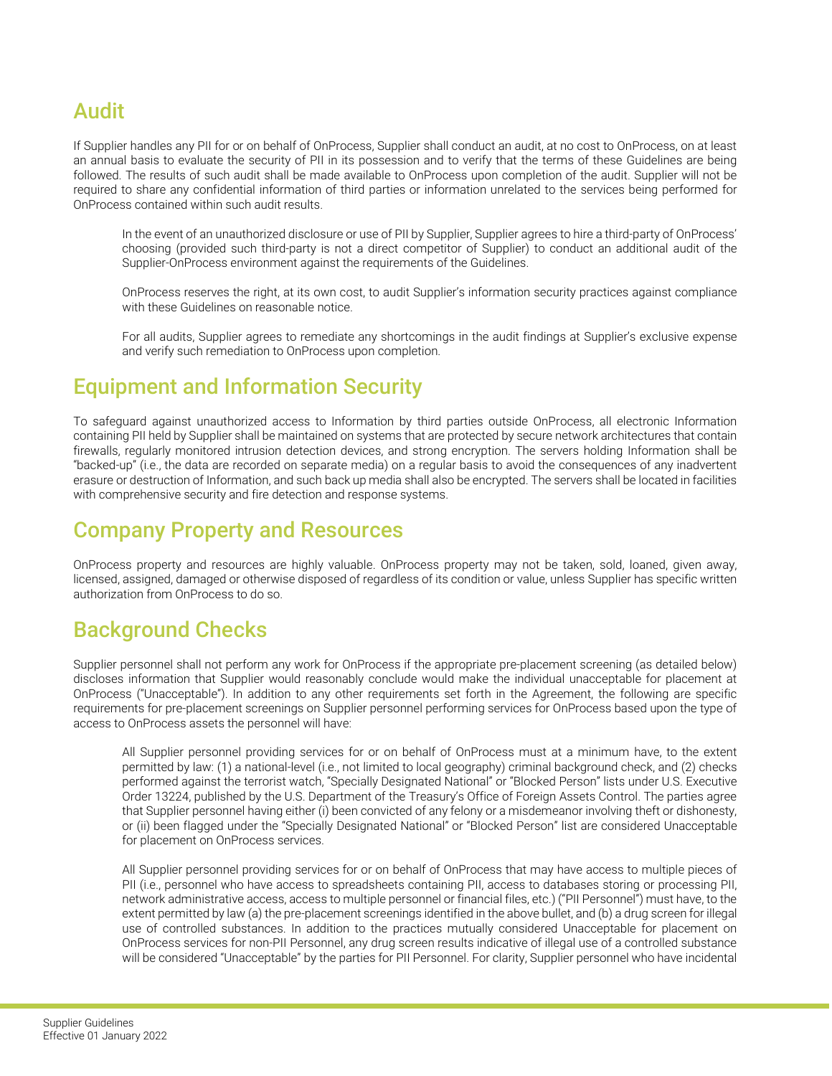#### Audit

If Supplier handles any PII for or on behalf of OnProcess, Supplier shall conduct an audit, at no cost to OnProcess, on at least an annual basis to evaluate the security of PII in its possession and to verify that the terms of these Guidelines are being followed. The results of such audit shall be made available to OnProcess upon completion of the audit. Supplier will not be required to share any confidential information of third parties or information unrelated to the services being performed for OnProcess contained within such audit results.

In the event of an unauthorized disclosure or use of PII by Supplier, Supplier agrees to hire a third-party of OnProcess' choosing (provided such third-party is not a direct competitor of Supplier) to conduct an additional audit of the Supplier-OnProcess environment against the requirements of the Guidelines.

OnProcess reserves the right, at its own cost, to audit Supplier's information security practices against compliance with these Guidelines on reasonable notice.

For all audits, Supplier agrees to remediate any shortcomings in the audit findings at Supplier's exclusive expense and verify such remediation to OnProcess upon completion.

#### Equipment and Information Security

To safeguard against unauthorized access to Information by third parties outside OnProcess, all electronic Information containing PII held by Supplier shall be maintained on systems that are protected by secure network architectures that contain firewalls, regularly monitored intrusion detection devices, and strong encryption. The servers holding Information shall be "backed-up" (i.e., the data are recorded on separate media) on a regular basis to avoid the consequences of any inadvertent erasure or destruction of Information, and such back up media shall also be encrypted. The servers shall be located in facilities with comprehensive security and fire detection and response systems.

#### Company Property and Resources

OnProcess property and resources are highly valuable. OnProcess property may not be taken, sold, loaned, given away, licensed, assigned, damaged or otherwise disposed of regardless of its condition or value, unless Supplier has specific written authorization from OnProcess to do so.

# Background Checks

Supplier personnel shall not perform any work for OnProcess if the appropriate pre-placement screening (as detailed below) discloses information that Supplier would reasonably conclude would make the individual unacceptable for placement at OnProcess ("Unacceptable"). In addition to any other requirements set forth in the Agreement, the following are specific requirements for pre-placement screenings on Supplier personnel performing services for OnProcess based upon the type of access to OnProcess assets the personnel will have:

All Supplier personnel providing services for or on behalf of OnProcess must at a minimum have, to the extent permitted by law: (1) a national-level (i.e., not limited to local geography) criminal background check, and (2) checks performed against the terrorist watch, "Specially Designated National" or "Blocked Person" lists under U.S. Executive Order 13224, published by the U.S. Department of the Treasury's Office of Foreign Assets Control. The parties agree that Supplier personnel having either (i) been convicted of any felony or a misdemeanor involving theft or dishonesty, or (ii) been flagged under the "Specially Designated National" or "Blocked Person" list are considered Unacceptable for placement on OnProcess services.

All Supplier personnel providing services for or on behalf of OnProcess that may have access to multiple pieces of PII (i.e., personnel who have access to spreadsheets containing PII, access to databases storing or processing PII, network administrative access, access to multiple personnel or financial files, etc.) ("PII Personnel") must have, to the extent permitted by law (a) the pre-placement screenings identified in the above bullet, and (b) a drug screen for illegal use of controlled substances. In addition to the practices mutually considered Unacceptable for placement on OnProcess services for non-PII Personnel, any drug screen results indicative of illegal use of a controlled substance will be considered "Unacceptable" by the parties for PII Personnel. For clarity, Supplier personnel who have incidental